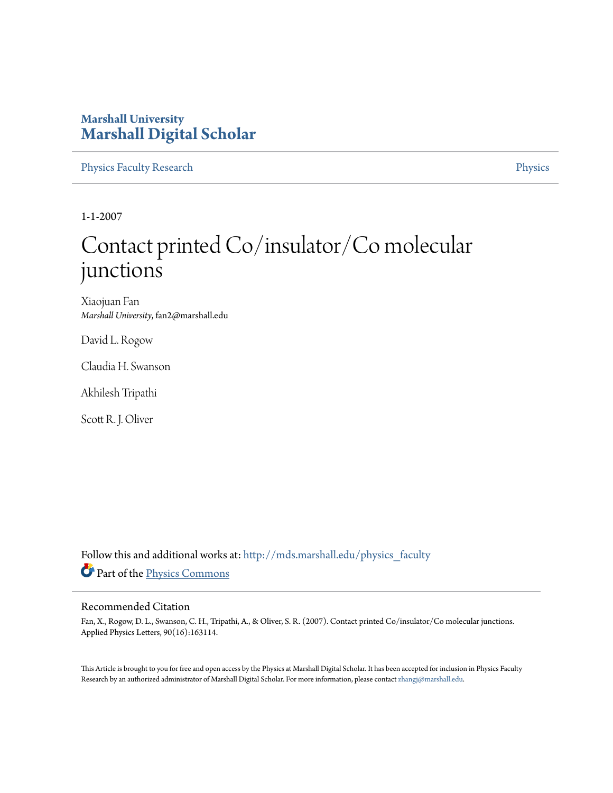## **Marshall University [Marshall Digital Scholar](http://mds.marshall.edu?utm_source=mds.marshall.edu%2Fphysics_faculty%2F18&utm_medium=PDF&utm_campaign=PDFCoverPages)**

[Physics Faculty Research](http://mds.marshall.edu/physics_faculty?utm_source=mds.marshall.edu%2Fphysics_faculty%2F18&utm_medium=PDF&utm_campaign=PDFCoverPages) **[Physics](http://mds.marshall.edu/physics?utm_source=mds.marshall.edu%2Fphysics_faculty%2F18&utm_medium=PDF&utm_campaign=PDFCoverPages)** 

1-1-2007

## Contact printed Co/insulator/Co molecular junctions

Xiaojuan Fan *Marshall University*, fan2@marshall.edu

David L. Rogow

Claudia H. Swanson

Akhilesh Tripathi

Scott R. J. Oliver

Follow this and additional works at: [http://mds.marshall.edu/physics\\_faculty](http://mds.marshall.edu/physics_faculty?utm_source=mds.marshall.edu%2Fphysics_faculty%2F18&utm_medium=PDF&utm_campaign=PDFCoverPages) Part of the [Physics Commons](http://network.bepress.com/hgg/discipline/193?utm_source=mds.marshall.edu%2Fphysics_faculty%2F18&utm_medium=PDF&utm_campaign=PDFCoverPages)

## Recommended Citation

Fan, X., Rogow, D. L., Swanson, C. H., Tripathi, A., & Oliver, S. R. (2007). Contact printed Co/insulator/Co molecular junctions. Applied Physics Letters, 90(16):163114.

This Article is brought to you for free and open access by the Physics at Marshall Digital Scholar. It has been accepted for inclusion in Physics Faculty Research by an authorized administrator of Marshall Digital Scholar. For more information, please contact [zhangj@marshall.edu.](mailto:zhangj@marshall.edu)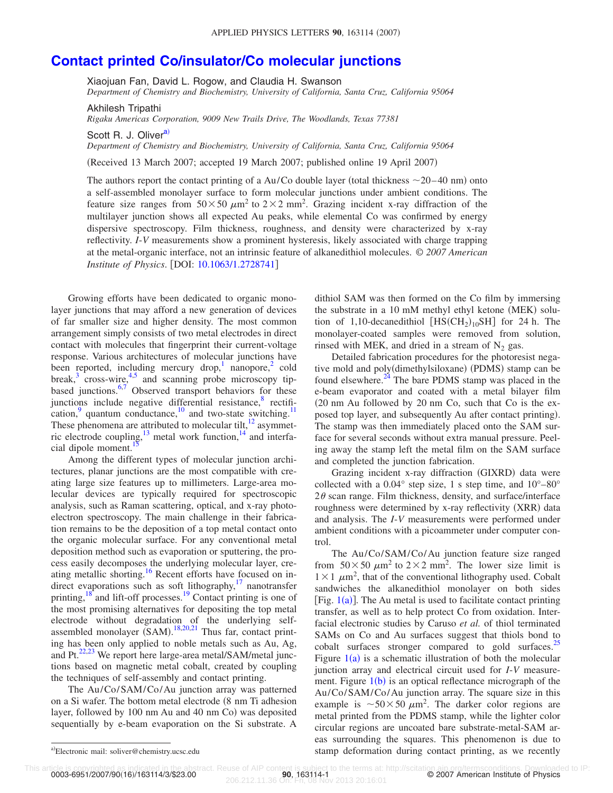## **[Contact printed Co/insulator/Co molecular junctions](http://dx.doi.org/10.1063/1.2728741)**

Xiaojuan Fan, David L. Rogow, and Claudia H. Swanson *Department of Chemistry and Biochemistry, University of California, Santa Cruz, California 95064*

Akhilesh Tripathi

*Rigaku Americas Corporation, 9009 New Trails Drive, The Woodlands, Texas 77381*

Scott R. J. Oliver<sup>a)</sup>

*Department of Chemistry and Biochemistry, University of California, Santa Cruz, California 95064*

(Received 13 March 2007; accepted 19 March 2007; published online 19 April 2007)

The authors report the contact printing of a Au/Co double layer (total thickness  $\sim$  20–40 nm) onto a self-assembled monolayer surface to form molecular junctions under ambient conditions. The feature size ranges from  $50 \times 50 \ \mu m^2$  to  $2 \times 2 \text{ mm}^2$ . Grazing incident x-ray diffraction of the multilayer junction shows all expected Au peaks, while elemental Co was confirmed by energy dispersive spectroscopy. Film thickness, roughness, and density were characterized by x-ray reflectivity. *I*-*V* measurements show a prominent hysteresis, likely associated with charge trapping at the metal-organic interface, not an intrinsic feature of alkanedithiol molecules. © *2007 American Institute of Physics.* [DOI: [10.1063/1.2728741](http://dx.doi.org/10.1063/1.2728741)]

Growing efforts have been dedicated to organic monolayer junctions that may afford a new generation of devices of far smaller size and higher density. The most common arrangement simply consists of two metal electrodes in direct contact with molecules that fingerprint their current-voltage response. Various architectures of molecular junctions have been reported, including mercury drop, nanopore,<sup>[2](#page-3-1)</sup> cold break, $3$  cross-wire, $4,5$  $4,5$  and scanning probe microscopy tipbased junctions. $6,7$  $6,7$  Observed transport behaviors for these junctions include negative differential resistance, $8$  rectification, quantum conductance, $\frac{10}{10}$  and two-state switching.<sup>1</sup> These phenomena are attributed to molecular tilt, $^{12}$  asymmetric electrode coupling, $^{13}$  metal work function, $^{14}$  and interfacial dipole moment.<sup>15</sup>

Among the different types of molecular junction architectures, planar junctions are the most compatible with creating large size features up to millimeters. Large-area molecular devices are typically required for spectroscopic analysis, such as Raman scattering, optical, and x-ray photoelectron spectroscopy. The main challenge in their fabrication remains to be the deposition of a top metal contact onto the organic molecular surface. For any conventional metal deposition method such as evaporation or sputtering, the process easily decomposes the underlying molecular layer, creating metallic shorting.<sup>16</sup> Recent efforts have focused on indirect evaporations such as soft lithography, $17$  nanotransfer printing, $\frac{18}{18}$  and lift-off processes.<sup>19</sup> Contact printing is one of the most promising alternatives for depositing the top metal electrode without degradation of the underlying selfassembled monolayer  $(SAM)$ .<sup>[18](#page-3-17)[,20](#page-3-19)[,21](#page-3-20)</sup> Thus far, contact printing has been only applied to noble metals such as Au, Ag, and Pt. $^{22,23}$  $^{22,23}$  $^{22,23}$  We report here large-area metal/SAM/metal junctions based on magnetic metal cobalt, created by coupling the techniques of self-assembly and contact printing.

The Au/Co/SAM/Co/Au junction array was patterned on a Si wafer. The bottom metal electrode  $(8 \text{ nm Ti}$  adhesion layer, followed by 100 nm Au and 40 nm Co) was deposited sequentially by e-beam evaporation on the Si substrate. A dithiol SAM was then formed on the Co film by immersing the substrate in a 10 mM methyl ethyl ketone (MEK) solution of 1,10-decanedithiol  $[HS(CH_2)_{10}SH]$  for 24 h. The monolayer-coated samples were removed from solution, rinsed with MEK, and dried in a stream of  $N_2$  gas.

Detailed fabrication procedures for the photoresist negative mold and poly(dimethylsiloxane) (PDMS) stamp can be found elsewhere.<sup>24</sup> The bare PDMS stamp was placed in the e-beam evaporator and coated with a metal bilayer film 20 nm Au followed by 20 nm Co, such that Co is the exposed top layer, and subsequently Au after contact printing). The stamp was then immediately placed onto the SAM surface for several seconds without extra manual pressure. Peeling away the stamp left the metal film on the SAM surface and completed the junction fabrication.

Grazing incident x-ray diffraction (GIXRD) data were collected with a 0.04° step size, 1 s step time, and 10°–80°  $2\theta$  scan range. Film thickness, density, and surface/interface roughness were determined by x-ray reflectivity (XRR) data and analysis. The *I*-*V* measurements were performed under ambient conditions with a picoammeter under computer control.

The Au/Co/SAM/Co/Au junction feature size ranged from  $50 \times 50 \ \mu m^2$  to  $2 \times 2 \text{ mm}^2$ . The lower size limit is  $1 \times 1$   $\mu$ m<sup>2</sup>, that of the conventional lithography used. Cobalt sandwiches the alkanedithiol monolayer on both sides [Fig.  $1(a)$  $1(a)$ ]. The Au metal is used to facilitate contact printing transfer, as well as to help protect Co from oxidation. Interfacial electronic studies by Caruso *et al.* of thiol terminated SAMs on Co and Au surfaces suggest that thiols bond to cobalt surfaces stronger compared to gold surfaces. $\frac{25}{2}$ Figure  $1(a)$  $1(a)$  is a schematic illustration of both the molecular junction array and electrical circuit used for *I*-*V* measurement. Figure  $1(b)$  $1(b)$  is an optical reflectance micrograph of the Au/Co/SAM/Co/Au junction array. The square size in this example is  $\sim 50 \times 50 \ \mu \text{m}^2$ . The darker color regions are metal printed from the PDMS stamp, while the lighter color circular regions are uncoated bare substrate-metal-SAM areas surrounding the squares. This phenomenon is due to stamp deformation during contact printing, as we recently

0003-6951/2007/90(16)/163114/3/\$23.00

This article is copyrighted as indicated in the abstract. Reuse of AIP content is subject to the terms at: http://scitation.aip.org/termsconditions. Downloaded to IP:<br>206.212.11.36 On: Fri, 08 Nov 2013 20:16:01<br>206.212.11.

<span id="page-1-0"></span>Electronic mail: soliver@chemistry.ucsc.edu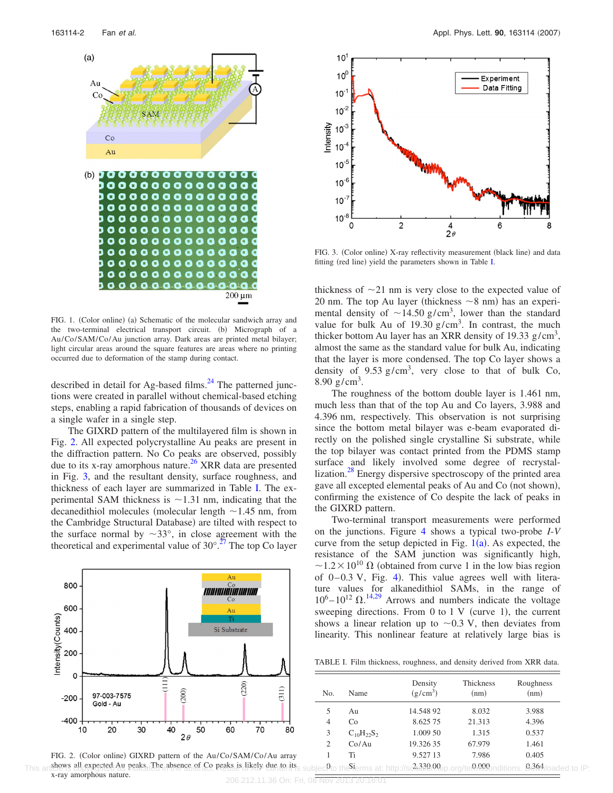<span id="page-2-0"></span>

FIG. 1. (Color online) (a) Schematic of the molecular sandwich array and the two-terminal electrical transport circuit. (b) Micrograph of a Au/Co/SAM/Co/Au junction array. Dark areas are printed metal bilayer; light circular areas around the square features are areas where no printing occurred due to deformation of the stamp during contact.

described in detail for Ag-based films. $^{24}$  The patterned junctions were created in parallel without chemical-based etching steps, enabling a rapid fabrication of thousands of devices on a single wafer in a single step.

The GIXRD pattern of the multilayered film is shown in Fig. [2.](#page-2-1) All expected polycrystalline Au peaks are present in the diffraction pattern. No Co peaks are observed, possibly due to its x-ray amorphous nature.<sup>26</sup> XRR data are presented in Fig. [3,](#page-2-2) and the resultant density, surface roughness, and thickness of each layer are summarized in Table [I.](#page-2-3) The experimental SAM thickness is  $\sim$  1.31 nm, indicating that the decanedithiol molecules (molecular length  $\sim$  1.45 nm, from the Cambridge Structural Database) are tilted with respect to the surface normal by  $\sim 33^{\circ}$ , in close agreement with the theoretical and experimental value of  $30^{\circ}$ .<sup>27</sup> The top Co layer

<span id="page-2-1"></span>

<span id="page-2-2"></span>

FIG. 3. (Color online) X-ray reflectivity measurement (black line) and data fitting (red line) yield the parameters shown in Table [I.](#page-2-3)

thickness of  $\sim$ 21 nm is very close to the expected value of 20 nm. The top Au layer (thickness  $\sim$ 8 nm) has an experimental density of  $\sim$ 14.50 g/cm<sup>3</sup>, lower than the standard value for bulk Au of 19.30  $g/cm<sup>3</sup>$ . In contrast, the much thicker bottom Au layer has an XRR density of 19.33  $g/cm<sup>3</sup>$ , almost the same as the standard value for bulk Au, indicating that the layer is more condensed. The top Co layer shows a density of 9.53  $g/cm<sup>3</sup>$ , very close to that of bulk Co, 8.90  $g/cm^3$ .

The roughness of the bottom double layer is 1.461 nm, much less than that of the top Au and Co layers, 3.988 and 4.396 nm, respectively. This observation is not surprising since the bottom metal bilayer was e-beam evaporated directly on the polished single crystalline Si substrate, while the top bilayer was contact printed from the PDMS stamp surface and likely involved some degree of recrystallization.<sup>28</sup> Energy dispersive spectroscopy of the printed area gave all excepted elemental peaks of Au and Co (not shown), confirming the existence of Co despite the lack of peaks in the GIXRD pattern.

Two-terminal transport measurements were performed on the junctions. Figure [4](#page-3-28) shows a typical two-probe *I*-*V* curve from the setup depicted in Fig.  $1(a)$  $1(a)$ . As expected, the resistance of the SAM junction was significantly high,  $\sim$ 1.2 × 10<sup>10</sup>  $\Omega$  (obtained from curve 1 in the low bias region of  $0-0.3$  V, Fig. [4](#page-3-28)). This value agrees well with literature values for alkanedithiol SAMs, in the range of  $10^6 - 10^{12} \Omega$ .<sup>[14,](#page-3-13)[29](#page-3-29)</sup> Arrows and numbers indicate the voltage sweeping directions. From  $0$  to  $1 \text{ V}$  (curve 1), the current shows a linear relation up to  $\sim 0.3$  V, then deviates from linearity. This nonlinear feature at relatively large bias is

<span id="page-2-3"></span>TABLE I. Film thickness, roughness, and density derived from XRR data.

| No.            | Name              | Density<br>$(g/cm^3)$ | Thickness<br>(nm) | Roughness<br>(nm) |
|----------------|-------------------|-----------------------|-------------------|-------------------|
| 5              | Au                | 14.548 92             | 8.032             | 3.988             |
| 4              | Co                | 8.625 75              | 21.313            | 4.396             |
| 3              | $C_{10}H_{22}S_2$ | 1.009 50              | 1.315             | 0.537             |
| $\overline{c}$ | Co/Au             | 19.326 35             | 67.979            | 1.461             |
|                | Ti                | 9.527 13              | 7.986             | 0.405             |
| $\sim$         | $\sim$            | 22200                 | 0.000             | 0.261             |